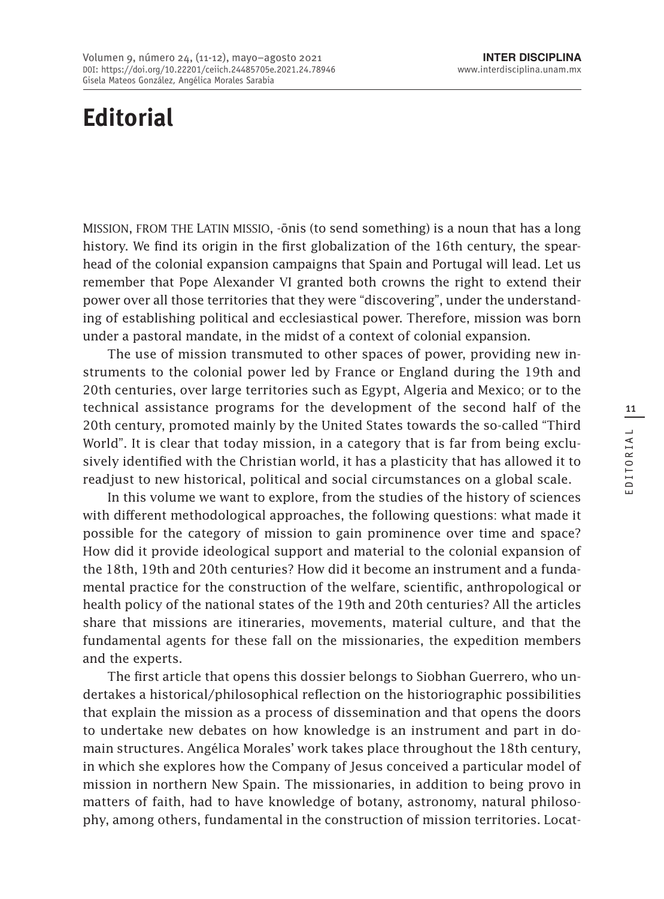## **Editorial**

Mission, from the Latin missio, -ōnis (to send something) is a noun that has a long history. We find its origin in the first globalization of the 16th century, the spearhead of the colonial expansion campaigns that Spain and Portugal will lead. Let us remember that Pope Alexander VI granted both crowns the right to extend their power over all those territories that they were "discovering", under the understanding of establishing political and ecclesiastical power. Therefore, mission was born under a pastoral mandate, in the midst of a context of colonial expansion.

The use of mission transmuted to other spaces of power, providing new instruments to the colonial power led by France or England during the 19th and 20th centuries, over large territories such as Egypt, Algeria and Mexico; or to the technical assistance programs for the development of the second half of the 20th century, promoted mainly by the United States towards the so-called "Third World". It is clear that today mission, in a category that is far from being exclusively identified with the Christian world, it has a plasticity that has allowed it to readjust to new historical, political and social circumstances on a global scale.

In this volume we want to explore, from the studies of the history of sciences with different methodological approaches, the following questions: what made it possible for the category of mission to gain prominence over time and space? How did it provide ideological support and material to the colonial expansion of the 18th, 19th and 20th centuries? How did it become an instrument and a fundamental practice for the construction of the welfare, scientific, anthropological or health policy of the national states of the 19th and 20th centuries? All the articles share that missions are itineraries, movements, material culture, and that the fundamental agents for these fall on the missionaries, the expedition members and the experts.

The first article that opens this dossier belongs to Siobhan Guerrero, who undertakes a historical/philosophical reflection on the historiographic possibilities that explain the mission as a process of dissemination and that opens the doors to undertake new debates on how knowledge is an instrument and part in domain structures. Angélica Morales' work takes place throughout the 18th century, in which she explores how the Company of Jesus conceived a particular model of mission in northern New Spain. The missionaries, in addition to being provo in matters of faith, had to have knowledge of botany, astronomy, natural philosophy, among others, fundamental in the construction of mission territories. Locat-